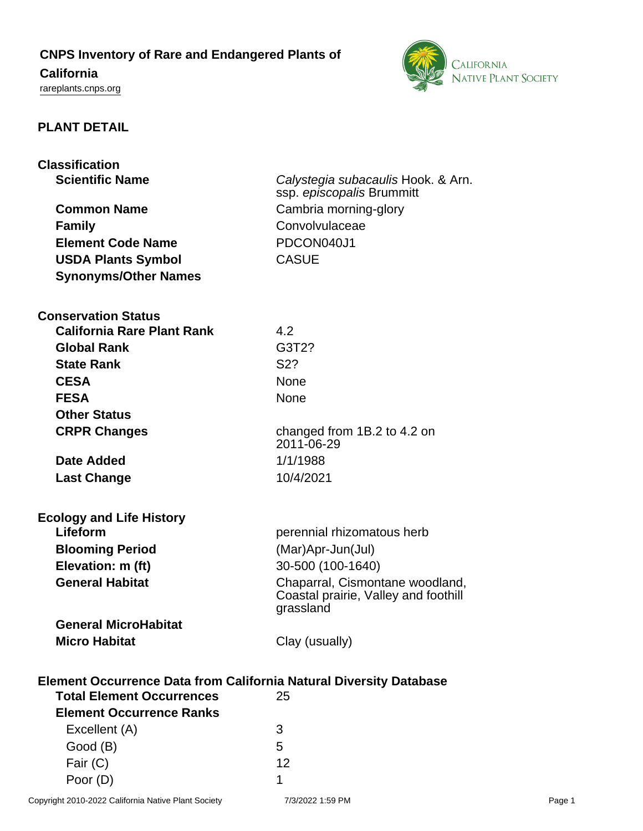# **CNPS Inventory of Rare and Endangered Plants of**

# **California**

<rareplants.cnps.org>



### **PLANT DETAIL**

| <b>Classification</b>                                                     |                                      |
|---------------------------------------------------------------------------|--------------------------------------|
| <b>Scientific Name</b>                                                    | Calystegia subacaulis Hook. & Arn.   |
|                                                                           | ssp. episcopalis Brummitt            |
| <b>Common Name</b>                                                        | Cambria morning-glory                |
| <b>Family</b>                                                             | Convolvulaceae                       |
| <b>Element Code Name</b>                                                  | PDCON040J1                           |
| <b>USDA Plants Symbol</b>                                                 | <b>CASUE</b>                         |
| <b>Synonyms/Other Names</b>                                               |                                      |
|                                                                           |                                      |
| <b>Conservation Status</b>                                                |                                      |
| <b>California Rare Plant Rank</b>                                         | 4.2                                  |
| <b>Global Rank</b>                                                        | G3T2?                                |
| <b>State Rank</b>                                                         | S <sub>2</sub> ?                     |
| <b>CESA</b>                                                               | None                                 |
| <b>FESA</b>                                                               | None                                 |
| <b>Other Status</b>                                                       |                                      |
| <b>CRPR Changes</b>                                                       | changed from 1B.2 to 4.2 on          |
|                                                                           | 2011-06-29                           |
| Date Added                                                                | 1/1/1988                             |
| <b>Last Change</b>                                                        | 10/4/2021                            |
|                                                                           |                                      |
| <b>Ecology and Life History</b>                                           |                                      |
| Lifeform                                                                  | perennial rhizomatous herb           |
| <b>Blooming Period</b>                                                    | (Mar)Apr-Jun(Jul)                    |
| Elevation: m (ft)                                                         | 30-500 (100-1640)                    |
| <b>General Habitat</b>                                                    | Chaparral, Cismontane woodland,      |
|                                                                           | Coastal prairie, Valley and foothill |
|                                                                           | grassland                            |
| <b>General MicroHabitat</b>                                               |                                      |
| <b>Micro Habitat</b>                                                      | Clay (usually)                       |
|                                                                           |                                      |
| <b>Element Occurrence Data from California Natural Diversity Database</b> |                                      |
| <b>Total Element Occurrences</b>                                          | 25                                   |
| <b>Element Occurrence Ranks</b>                                           |                                      |
| Excellent (A)                                                             | 3                                    |
| Good (B)                                                                  | 5                                    |
| Fair (C)                                                                  | 12                                   |

Poor (D) 1